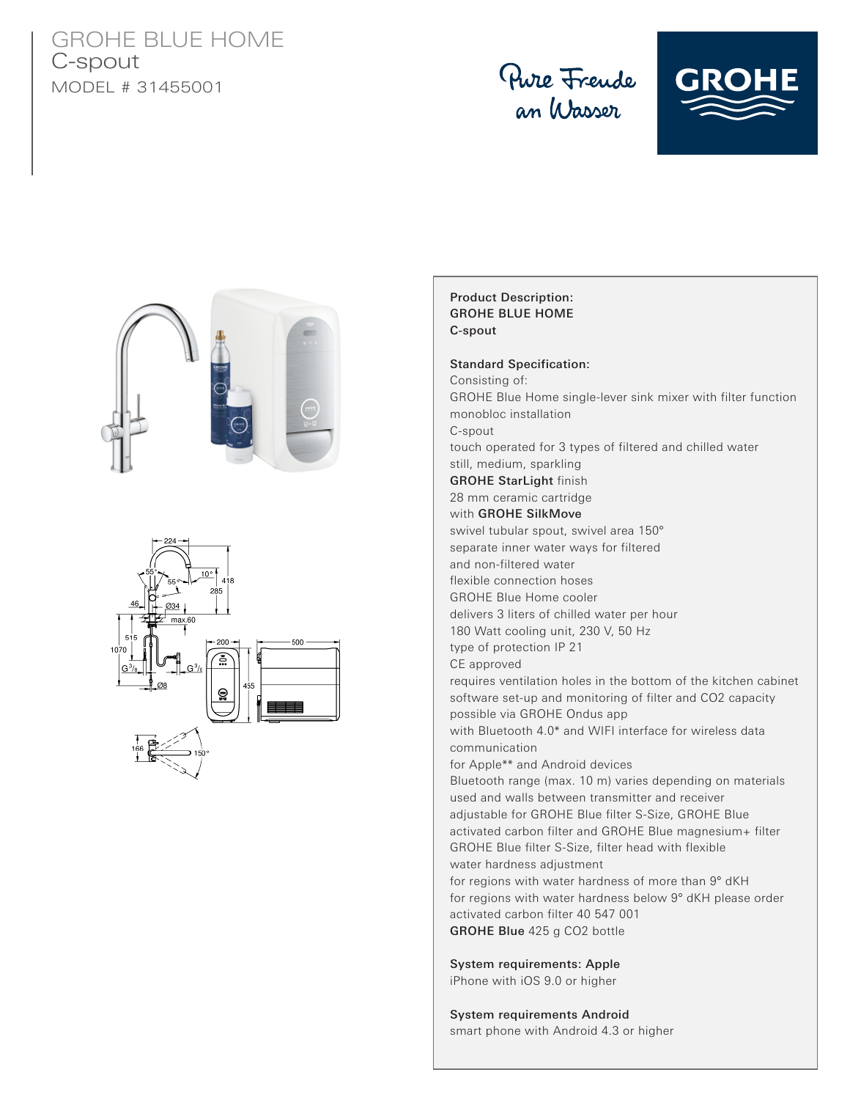## GROHE BLUE HOME C-spout MODEL # 31455001









## Product Description: GROHE BLUE HOME C-spout

Standard Specification: Consisting of: GROHE Blue Home single-lever sink mixer with filter function monobloc installation C-spout touch operated for 3 types of filtered and chilled water still, medium, sparkling GROHE StarLight finish 28 mm ceramic cartridge with GROHE SilkMove swivel tubular spout, swivel area 150° separate inner water ways for filtered and non-filtered water flexible connection hoses GROHE Blue Home cooler delivers 3 liters of chilled water per hour 180 Watt cooling unit, 230 V, 50 Hz type of protection IP 21 CE approved requires ventilation holes in the bottom of the kitchen cabinet software set-up and monitoring of filter and CO2 capacity possible via GROHE Ondus app with Bluetooth 4.0\* and WIFI interface for wireless data communication for Apple\*\* and Android devices Bluetooth range (max. 10 m) varies depending on materials used and walls between transmitter and receiver adjustable for GROHE Blue filter S-Size, GROHE Blue activated carbon filter and GROHE Blue magnesium+ filter GROHE Blue filter S-Size, filter head with flexible water hardness adjustment for regions with water hardness of more than 9° dKH for regions with water hardness below 9° dKH please order activated carbon filter 40 547 001 GROHE Blue 425 g CO2 bottle

System requirements: Apple iPhone with iOS 9.0 or higher

## System requirements Android smart phone with Android 4.3 or higher